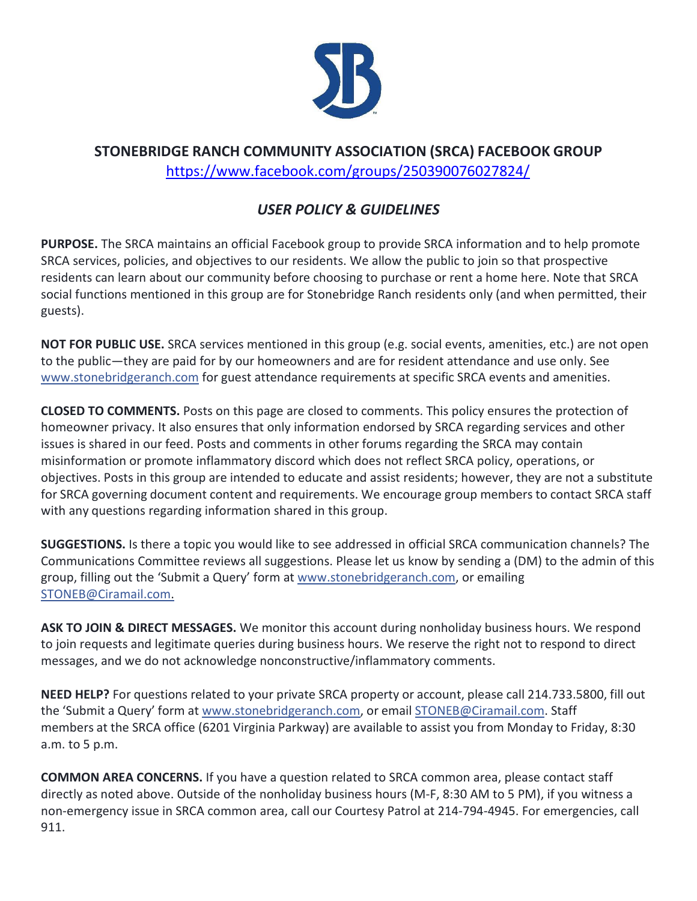

## **STONEBRIDGE RANCH COMMUNITY ASSOCIATION (SRCA) FACEBOOK GROUP** <https://www.facebook.com/groups/250390076027824/>

## *USER POLICY & GUIDELINES*

**PURPOSE.** The SRCA maintains an official Facebook group to provide SRCA information and to help promote SRCA services, policies, and objectives to our residents. We allow the public to join so that prospective residents can learn about our community before choosing to purchase or rent a home here. Note that SRCA social functions mentioned in this group are for Stonebridge Ranch residents only (and when permitted, their guests).

**NOT FOR PUBLIC USE.** SRCA services mentioned in this group (e.g. social events, amenities, etc.) are not open to the public—they are paid for by our homeowners and are for resident attendance and use only. See [www.stonebridgeranch.com](http://www.stonebridgeranch.com/?fbclid=IwAR2YCOHVz1JKH1Am3rF8G9h045E8tJLR-n7pFDEPF2Y1hgsfQkpd1lCA2Y8) for guest attendance requirements at specific SRCA events and amenities.

**CLOSED TO COMMENTS.** Posts on this page are closed to comments. This policy ensures the protection of homeowner privacy. It also ensures that only information endorsed by SRCA regarding services and other issues is shared in our feed. Posts and comments in other forums regarding the SRCA may contain misinformation or promote inflammatory discord which does not reflect SRCA policy, operations, or objectives. Posts in this group are intended to educate and assist residents; however, they are not a substitute for SRCA governing document content and requirements. We encourage group members to contact SRCA staff with any questions regarding information shared in this group.

**SUGGESTIONS.** Is there a topic you would like to see addressed in official SRCA communication channels? The Communications Committee reviews all suggestions. Please let us know by sending a (DM) to the admin of this group, filling out the 'Submit a Query' form at [www.stonebridgeranch.com,](https://l.facebook.com/l.php?u=http%3A%2F%2Fwww.stonebridgeranch.com%2F%3Ffbclid%3DIwAR2O2JTdZrJH-9B43Y0wJOse2yg1UMEphwB8v0IMNcOy7meFZCPH66ArLnI&h=AT03CZ3T60R6kyTiST9H4d90WtlNsF8mFBFRWBTUpaJLhdcK35Rj5fnaAYDar5phzvdqFz1E1sVcUlmorIxAeS3hCgP6osyBTlmzsZun-TE4_xaH6dDsYnrBSNwJeRI0XExGjcUeQMvKn3ilQhzS) or emailing [STONEB@Ciramail.com.](mailto:STONEB@Ciramail.com)

**ASK TO JOIN & DIRECT MESSAGES.** We monitor this account during nonholiday business hours. We respond to join requests and legitimate queries during business hours. We reserve the right not to respond to direct messages, and we do not acknowledge nonconstructive/inflammatory comments.

**NEED HELP?** For questions related to your private SRCA property or account, please call 214.733.5800, fill out the 'Submit a Query' form at [www.stonebridgeranch.com, o](https://l.facebook.com/l.php?u=http%3A%2F%2Fwww.stonebridgeranch.com%2F%3Ffbclid%3DIwAR2S4DF5vtiXu--BjNk1zp1QdSGJ_Pt22K84KjKrxy0SRhKhT5tZzxhGUL0&h=AT1cATePFyfLkYhctVJx4rzLc4G5abq_Tpt-luVIiNudLL-OHBfxWePTHeTbYJsFBq4WZhLfIm7DWwGaWq-U5HHyB5DmSISb48QnY_Jk7RNr6ywVizybs0yk203z9nS7mDR3oCFNhWBEo7fEuWut)r email [STONEB@Ciramail.com. S](mailto:STONEB@Ciramail.com)taff members at the SRCA office (6201 Virginia Parkway) are available to assist you from Monday to Friday, 8:30 a.m. to 5 p.m.

**COMMON AREA CONCERNS.** If you have a question related to SRCA common area, please contact staff directly as noted above. Outside of the nonholiday business hours (M-F, 8:30 AM to 5 PM), if you witness a non-emergency issue in SRCA common area, call our Courtesy Patrol at 214-794-4945. For emergencies, call 911.